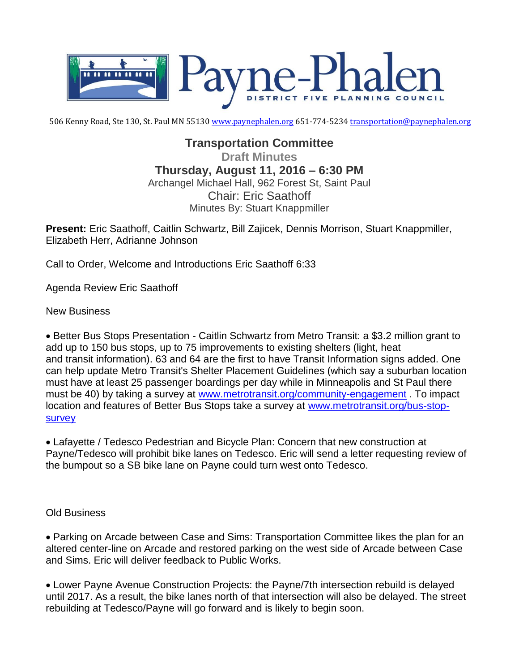

506 Kenny Road, Ste 130, St. Paul MN 55130 [www.paynephalen.org](http://www.paynephalen.org/) 651-774-5234 [transportation@paynephalen.org](mailto:transportation@paynephalen.org)

## **Transportation Committee**

**Draft Minutes Thursday, August 11, 2016 – 6:30 PM** Archangel Michael Hall, 962 Forest St, Saint Paul Chair: Eric Saathoff Minutes By: Stuart Knappmiller

**Present:** Eric Saathoff, Caitlin Schwartz, Bill Zajicek, Dennis Morrison, Stuart Knappmiller, Elizabeth Herr, Adrianne Johnson

Call to Order, Welcome and Introductions Eric Saathoff 6:33

Agenda Review Eric Saathoff

New Business

 Better Bus Stops Presentation - Caitlin Schwartz from Metro Transit: a \$3.2 million grant to add up to 150 bus stops, up to 75 improvements to existing shelters (light, heat and transit information). 63 and 64 are the first to have Transit Information signs added. One can help update Metro Transit's Shelter Placement Guidelines (which say a suburban location must have at least 25 passenger boardings per day while in Minneapolis and St Paul there must be 40) by taking a survey at [www.metrotransit.org/community-engagement](http://www.metrotransit.org/community-engagement) . To impact location and features of Better Bus Stops take a survey at [www.metrotransit.org/bus-stop](http://www.metrotransit.org/bus-stop-survey)[survey](http://www.metrotransit.org/bus-stop-survey)

 Lafayette / Tedesco Pedestrian and Bicycle Plan: Concern that new construction at Payne/Tedesco will prohibit bike lanes on Tedesco. Eric will send a letter requesting review of the bumpout so a SB bike lane on Payne could turn west onto Tedesco.

Old Business

 Parking on Arcade between Case and Sims: Transportation Committee likes the plan for an altered center-line on Arcade and restored parking on the west side of Arcade between Case and Sims. Eric will deliver feedback to Public Works.

 Lower Payne Avenue Construction Projects: the Payne/7th intersection rebuild is delayed until 2017. As a result, the bike lanes north of that intersection will also be delayed. The street rebuilding at Tedesco/Payne will go forward and is likely to begin soon.